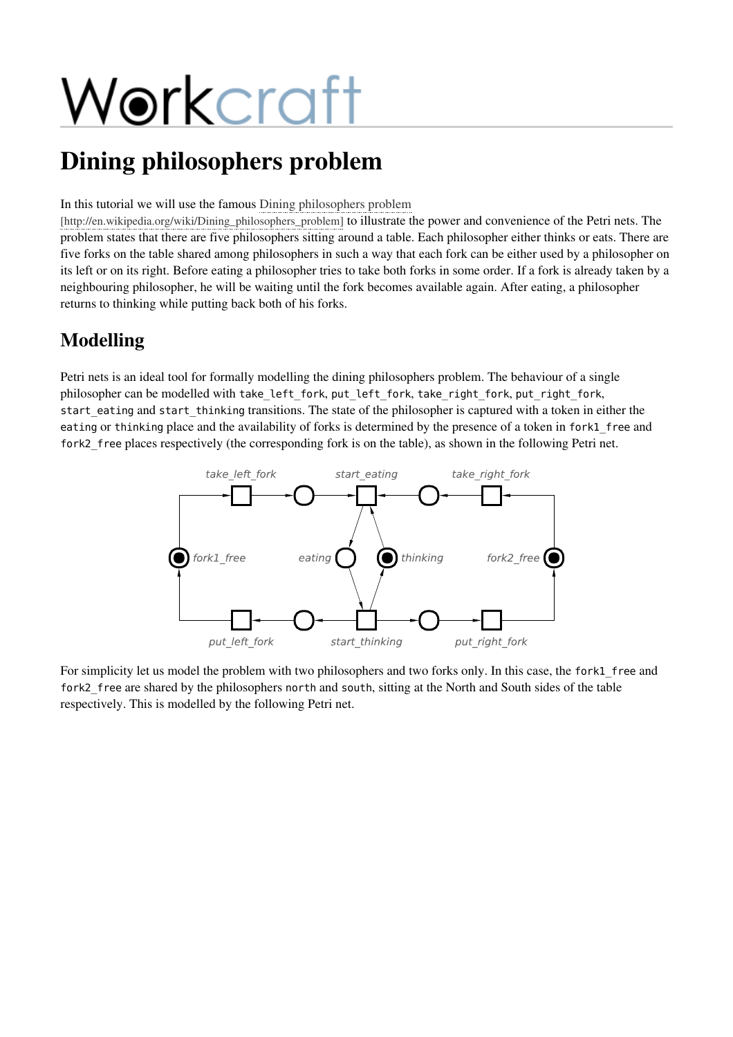# Workcraft

## Dining philosophers problem

#### In this tutorial we will use the famous Dining philosophers problem

[\[http://en.wikipedia.org/wiki/Dining\\_philosophers\\_problem\]](http://en.wikipedia.org/wiki/Dining_philosophers_problem) to illustrate the power and convenience of the Petri nets. The problem states that there are five philosophers sitting around a table. Each philosopher either thinks or eats. There are five forks on the table shared among philosophers in such a way that each fork can be either used by a philosopher on its left or on its right. Before eating a philosopher tries to take both forks in some order. If a fork is already taken by a neighbouring philosopher, he will be waiting until the fork becomes available again. After eating, a philosopher returns to thinking while putting back both of his forks.

### Modelling

Petri nets is an ideal tool for formally modelling the dining philosophers problem. The behaviour of a single philosopher can be modelled with take left fork, put left fork, take right fork, put right fork, start eating and start thinking transitions. The state of the philosopher is captured with a token in either the eating or thinking place and the availability of forks is determined by the presence of a token in fork1 free and fork2 free places respectively (the corresponding fork is on the table), as shown in the following Petri net.



For simplicity let us model the problem with two philosophers and two forks only. In this case, the fork1 free and fork2 free are shared by the philosophers north and south, sitting at the North and South sides of the table respectively. This is modelled by the following Petri net.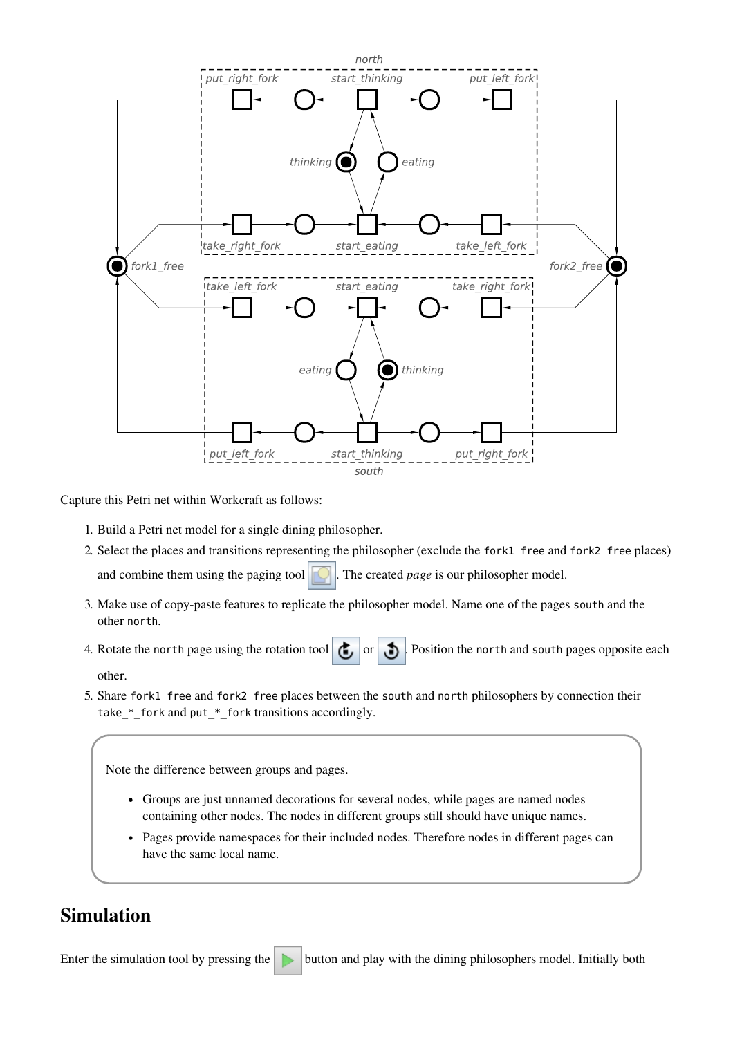

Capture this Petri net within Workcraft as follows:

- 1. Build a Petri net model for a single dining philosopher.
- 2. Select the places and transitions representing the philosopher (exclude the fork1\_free and fork2\_free places) and combine them using the paging tool  $\Box$ . The created *page* is our philosopher model.
- 3. Make use of copy-paste features to replicate the philosopher model. Name one of the pages southand the other north.
- 4. Rotate the north page using the rotation tool  $\int$  or  $\int$ . Position the north and south pages opposite each other.
- 5. Share fork1 free and fork2 free places between the south and north philosophers by connection their take\_\*\_fork and put\_\*\_fork transitions accordingly.

Note the difference between groups and pages.

- Groups are just unnamed decorations for several nodes, while pages are named nodes containing other nodes. The nodes in different groups still should have unique names.
- Pages provide namespaces for their included nodes. Therefore nodes in different pages can have the same local name.

### Simulation

Enter the simulation tool by pressing the button and play with the dining philosophers model. Initially both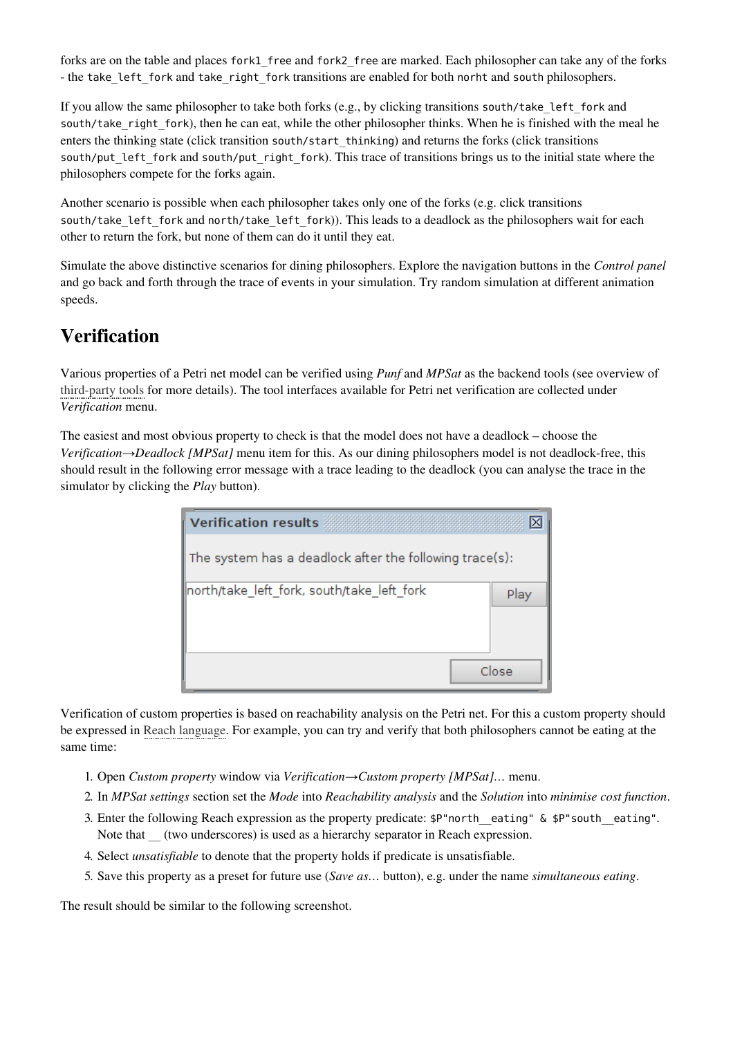forks are on the table and places fork1\_free and fork2\_free are marked. Each philosopher can take any of the forks - the take left fork and take right fork transitions are enabled for both norht and south philosophers.

If you allow the same philosopher to take both forks (e.g., by clicking transitions south/take\_left\_forkand south/take right fork), then he can eat, while the other philosopher thinks. When he is finished with the meal he enters the thinking state (click transition south/start\_thinking) and returns the forks (click transitions south/put left fork and south/put right fork). This trace of transitions brings us to the initial state where the philosophers compete for the forks again.

Another scenario is possible when each philosopher takes only one of the forks (e.g. click transitions south/take\_left\_forkand north/take\_left\_fork)). This leads to a deadlock as the philosophers wait for each other to return the fork, but none of them can do it until they eat.

Simulate the above distinctive scenarios for dining philosophers. Explore the navigation buttons in the *Control panel* and go back and forth through the trace of events in your simulation. Try random simulation at different animation speeds.

#### Verification

Various properties of a Petri net model can be verified using *Punf* and *MPSat* as the backend tools (see overview of [third-party](http://www.workcraft.org/overview/backend_tools) tools for more details). The tool interfaces available for Petri net verification are collected under *Verification* menu.

The easiest and most obvious property to check is that the model does not have a deadlock – choose the *Verification→Deadlock [MPSat]* menu item for this. As our dining philosophers model is not deadlock-free, this should result in the following error message with a trace leading to the deadlock (you can analyse the trace in the simulator by clicking the *Play* button).

| <b>Verification results</b>                             |       |  |
|---------------------------------------------------------|-------|--|
| The system has a deadlock after the following trace(s): |       |  |
| north/take left fork, south/take left fork              | Play  |  |
|                                                         |       |  |
|                                                         |       |  |
|                                                         | Close |  |

Verification of custom properties is based on reachability analysis on the Petri net. For this a custom property should be expressed in Reach [language](http://www.workcraft.org/help/reach). For example, you can try and verify that both philosophers cannot be eating at the same time:

- 1. Open *Custom property* window via *Verification→Custom property [MPSat]…* menu.
- 2. In *MPSat settings* section set the *Mode* into *Reachability analysis* and the *Solution* into *minimise cost function*.
- 3. Enter the following Reach expression as the property predicate:  $$P"north$  eating" &  $$P"south$  eating". Note that (two underscores) is used as a hierarchy separator in Reach expression.
- 4. Select *unsatisfiable* to denote that the property holds if predicate is unsatisfiable.
- 5. Save this property as a preset for future use (*Save as…* button), e.g. under the name *simultaneous eating*.

The result should be similar to the following screenshot.